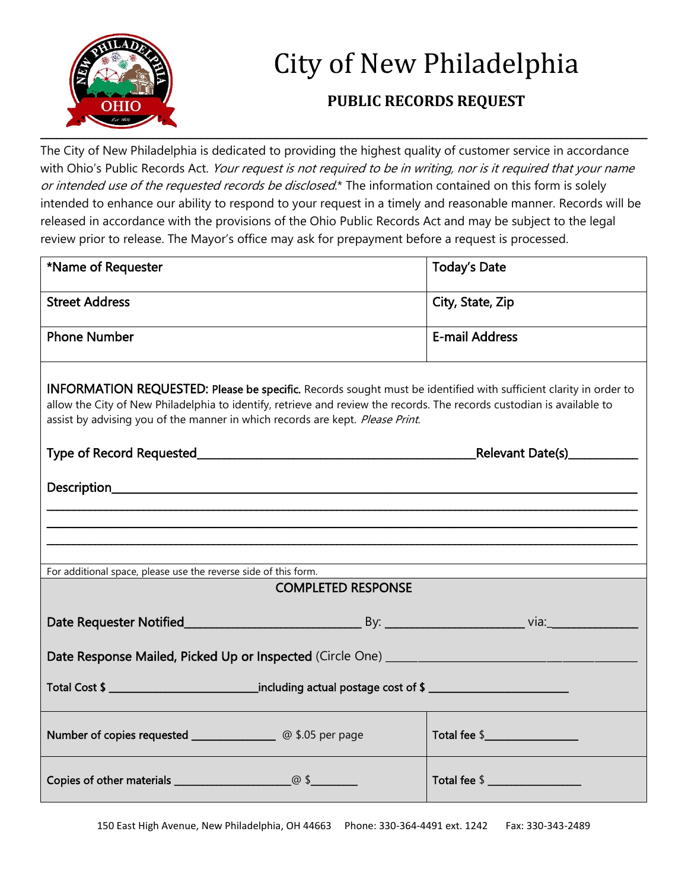

## City of New Philadelphia

## **PUBLIC RECORDS REQUEST**

The City of New Philadelphia is dedicated to providing the highest quality of customer service in accordance with Ohio's Public Records Act. Your request is not required to be in writing, nor is it required that your name or intended use of the requested records be disclosed.\* The information contained on this form is solely intended to enhance our ability to respond to your request in a timely and reasonable manner. Records will be released in accordance with the provisions of the Ohio Public Records Act and may be subject to the legal review prior to release. The Mayor's office may ask for prepayment before a request is processed.

| *Name of Requester                                                                                                                                                                                                                                                                                                                 | <b>Today's Date</b>   |
|------------------------------------------------------------------------------------------------------------------------------------------------------------------------------------------------------------------------------------------------------------------------------------------------------------------------------------|-----------------------|
| <b>Street Address</b>                                                                                                                                                                                                                                                                                                              | City, State, Zip      |
| <b>Phone Number</b>                                                                                                                                                                                                                                                                                                                | <b>E-mail Address</b> |
| <b>INFORMATION REQUESTED: Please be specific.</b> Records sought must be identified with sufficient clarity in order to<br>allow the City of New Philadelphia to identify, retrieve and review the records. The records custodian is available to<br>assist by advising you of the manner in which records are kept. Please Print. |                       |
|                                                                                                                                                                                                                                                                                                                                    |                       |
|                                                                                                                                                                                                                                                                                                                                    |                       |
|                                                                                                                                                                                                                                                                                                                                    |                       |
|                                                                                                                                                                                                                                                                                                                                    |                       |
| For additional space, please use the reverse side of this form.                                                                                                                                                                                                                                                                    |                       |
| <b>COMPLETED RESPONSE</b>                                                                                                                                                                                                                                                                                                          |                       |
| Date Requester Notified By: By: By: By: Via:                                                                                                                                                                                                                                                                                       |                       |
|                                                                                                                                                                                                                                                                                                                                    |                       |
| Total Cost \$ _________________________________including actual postage cost of \$ ___________________                                                                                                                                                                                                                             |                       |
|                                                                                                                                                                                                                                                                                                                                    |                       |
|                                                                                                                                                                                                                                                                                                                                    | Total fee \$          |